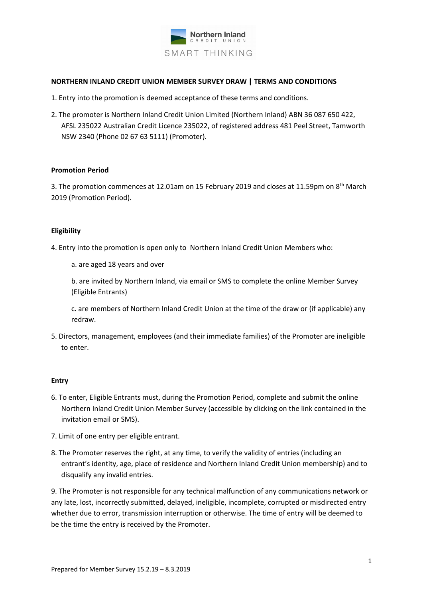

# **NORTHERN INLAND CREDIT UNION MEMBER SURVEY DRAW | TERMS AND CONDITIONS**

- 1. Entry into the promotion is deemed acceptance of these terms and conditions.
- 2. The promoter is Northern Inland Credit Union Limited (Northern Inland) ABN 36 087 650 422, AFSL 235022 Australian Credit Licence 235022, of registered address 481 Peel Street, Tamworth NSW 2340 (Phone 02 67 63 5111) (Promoter).

#### **Promotion Period**

3. The promotion commences at 12.01am on 15 February 2019 and closes at 11.59pm on 8<sup>th</sup> March 2019 (Promotion Period).

### **Eligibility**

- 4. Entry into the promotion is open only to Northern Inland Credit Union Members who:
	- a. are aged 18 years and over

b. are invited by Northern Inland, via email or SMS to complete the online Member Survey (Eligible Entrants)

c. are members of Northern Inland Credit Union at the time of the draw or (if applicable) any redraw.

5. Directors, management, employees (and their immediate families) of the Promoter are ineligible to enter.

# **Entry**

- 6. To enter, Eligible Entrants must, during the Promotion Period, complete and submit the online Northern Inland Credit Union Member Survey (accessible by clicking on the link contained in the invitation email or SMS).
- 7. Limit of one entry per eligible entrant.
- 8. The Promoter reserves the right, at any time, to verify the validity of entries (including an entrant's identity, age, place of residence and Northern Inland Credit Union membership) and to disqualify any invalid entries.

9. The Promoter is not responsible for any technical malfunction of any communications network or any late, lost, incorrectly submitted, delayed, ineligible, incomplete, corrupted or misdirected entry whether due to error, transmission interruption or otherwise. The time of entry will be deemed to be the time the entry is received by the Promoter.